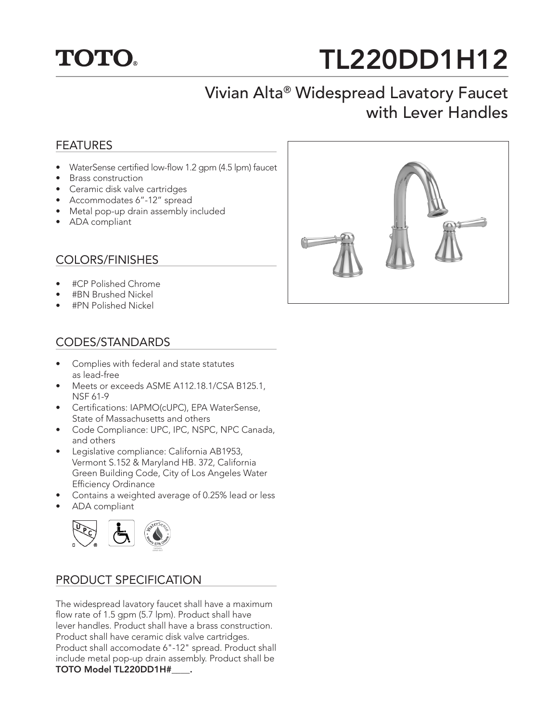

# TL220DD1H12

# Vivian Alta® Widespread Lavatory Faucet with Lever Handles

#### FEATURES

- WaterSense certified low-flow 1.2 gpm (4.5 lpm) faucet
- Brass construction
- Ceramic disk valve cartridges
- Accommodates 6"-12" spread
- Metal pop-up drain assembly included
- ADA compliant

### COLORS/FINISHES

- #CP Polished Chrome
- #BN Brushed Nickel
- #PN Polished Nickel

#### CODES/STANDARDS

- Complies with federal and state statutes as lead-free
- Meets or exceeds ASME A112.18.1/CSA B125.1, NSF 61-9
- Certifications: IAPMO(cUPC), EPA WaterSense, State of Massachusetts and others
- Code Compliance: UPC, IPC, NSPC, NPC Canada, and others
- Legislative compliance: California AB1953, Vermont S.152 & Maryland HB. 372, California Green Building Code, City of Los Angeles Water Efficiency Ordinance
- Contains a weighted average of 0.25% lead or less
- ADA compliant



#### PRODUCT SPECIFICATION

The widespread lavatory faucet shall have a maximum flow rate of 1.5 gpm (5.7 lpm). Product shall have lever handles. Product shall have a brass construction. Product shall have ceramic disk valve cartridges. Product shall accomodate 6"-12" spread. Product shall include metal pop-up drain assembly. Product shall be TOTO Model TL220DD1H#\_\_\_\_.